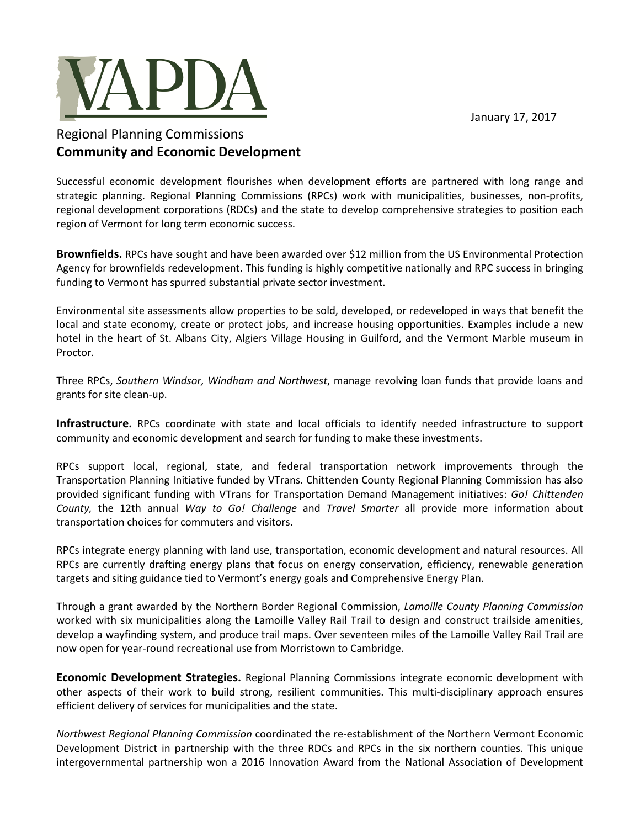January 17, 2017



## Regional Planning Commissions **Community and Economic Development**

Successful economic development flourishes when development efforts are partnered with long range and strategic planning. Regional Planning Commissions (RPCs) work with municipalities, businesses, non-profits, regional development corporations (RDCs) and the state to develop comprehensive strategies to position each region of Vermont for long term economic success.

**Brownfields.** RPCs have sought and have been awarded over \$12 million from the US Environmental Protection Agency for brownfields redevelopment. This funding is highly competitive nationally and RPC success in bringing funding to Vermont has spurred substantial private sector investment.

Environmental site assessments allow properties to be sold, developed, or redeveloped in ways that benefit the local and state economy, create or protect jobs, and increase housing opportunities. Examples include a new hotel in the heart of St. Albans City, Algiers Village Housing in Guilford, and the Vermont Marble museum in Proctor.

Three RPCs, *Southern Windsor, Windham and Northwest*, manage revolving loan funds that provide loans and grants for site clean-up.

**Infrastructure.** RPCs coordinate with state and local officials to identify needed infrastructure to support community and economic development and search for funding to make these investments.

RPCs support local, regional, state, and federal transportation network improvements through the Transportation Planning Initiative funded by VTrans. Chittenden County Regional Planning Commission has also provided significant funding with VTrans for Transportation Demand Management initiatives: *Go! Chittenden County,* the 12th annual *Way to Go! Challenge* and *Travel Smarter* all provide more information about transportation choices for commuters and visitors.

RPCs integrate energy planning with land use, transportation, economic development and natural resources. All RPCs are currently drafting energy plans that focus on energy conservation, efficiency, renewable generation targets and siting guidance tied to Vermont's energy goals and Comprehensive Energy Plan.

Through a grant awarded by the Northern Border Regional Commission, *Lamoille County Planning Commission* worked with six municipalities along the Lamoille Valley Rail Trail to design and construct trailside amenities, develop a wayfinding system, and produce trail maps. Over seventeen miles of the Lamoille Valley Rail Trail are now open for year-round recreational use from Morristown to Cambridge.

**Economic Development Strategies.** Regional Planning Commissions integrate economic development with other aspects of their work to build strong, resilient communities. This multi-disciplinary approach ensures efficient delivery of services for municipalities and the state.

*Northwest Regional Planning Commission* coordinated the re-establishment of the Northern Vermont Economic Development District in partnership with the three RDCs and RPCs in the six northern counties. This unique intergovernmental partnership won a 2016 Innovation Award from the National Association of Development